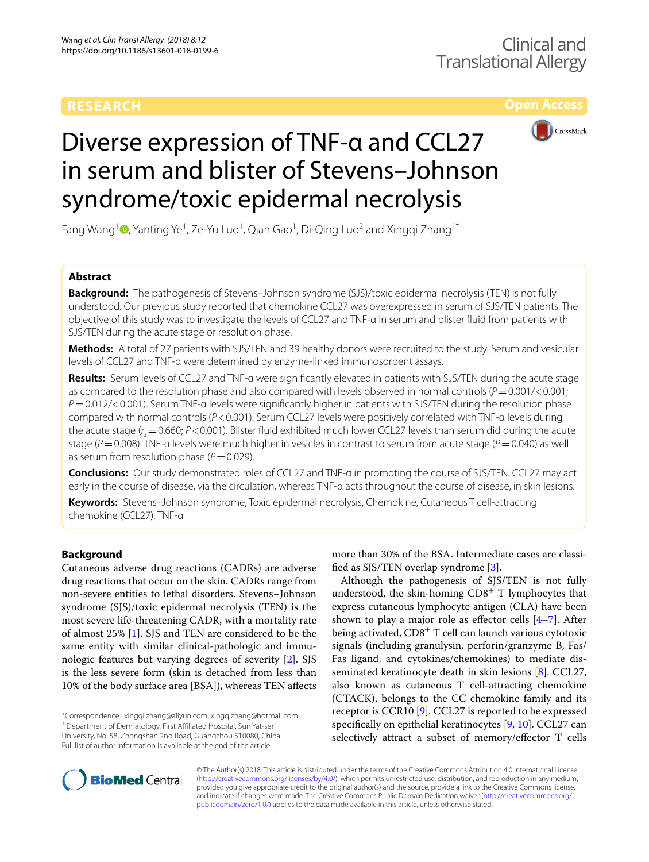**Open Access**



# Diverse expression of TNF-α and CCL27 in serum and blister of Stevens–Johnson syndrome/toxic epidermal necrolysis

Fang Wang<sup>1</sup> D[,](http://orcid.org/0000-0002-3327-4177) Yanting Ye<sup>1</sup>, Ze-Yu Luo<sup>1</sup>, Qian Gao<sup>1</sup>, Di-Qing Luo<sup>2</sup> and Xingqi Zhang<sup>1\*</sup>

# **Abstract**

**Background:** The pathogenesis of Stevens–Johnson syndrome (SJS)/toxic epidermal necrolysis (TEN) is not fully understood. Our previous study reported that chemokine CCL27 was overexpressed in serum of SJS/TEN patients. The objective of this study was to investigate the levels of CCL27 and TNF-α in serum and blister fuid from patients with SJS/TEN during the acute stage or resolution phase.

**Methods:** A total of 27 patients with SJS/TEN and 39 healthy donors were recruited to the study. Serum and vesicular levels of CCL27 and TNF-α were determined by enzyme-linked immunosorbent assays.

**Results:** Serum levels of CCL27 and TNF-α were signifcantly elevated in patients with SJS/TEN during the acute stage as compared to the resolution phase and also compared with levels observed in normal controls  $(P=0.001/<0.001)$ ; *P*=0.012/<0.001). Serum TNF-a levels were significantly higher in patients with SJS/TEN during the resolution phase compared with normal controls (*P*<0.001). Serum CCL27 levels were positively correlated with TNF-α levels during the acute stage ( $r_s$  = 0.660;  $P < 0.001$ ). Blister fluid exhibited much lower CCL27 levels than serum did during the acute stage (*P*=0.008). TNF-α levels were much higher in vesicles in contrast to serum from acute stage (*P*=0.040) as well as serum from resolution phase  $(P=0.029)$ .

**Conclusions:** Our study demonstrated roles of CCL27 and TNF-α in promoting the course of SJS/TEN. CCL27 may act early in the course of disease, via the circulation, whereas TNF-α acts throughout the course of disease, in skin lesions.

**Keywords:** Stevens–Johnson syndrome, Toxic epidermal necrolysis, Chemokine, Cutaneous T cell-attracting chemokine (CCL27), TNF-α

# **Background**

Cutaneous adverse drug reactions (CADRs) are adverse drug reactions that occur on the skin. CADRs range from non-severe entities to lethal disorders. Stevens–Johnson syndrome (SJS)/toxic epidermal necrolysis (TEN) is the most severe life-threatening CADR, with a mortality rate of almost 25% [[1\]](#page-5-0). SJS and TEN are considered to be the same entity with similar clinical-pathologic and immunologic features but varying degrees of severity [\[2](#page-5-1)]. SJS is the less severe form (skin is detached from less than 10% of the body surface area [BSA]), whereas TEN afects

\*Correspondence: xingqi.zhang@aliyun.com; xingqizhang@hotmail.com <sup>1</sup> Department of Dermatology, First Affiliated Hospital, Sun Yat-sen University, No. 58, Zhongshan 2nd Road, Guangzhou 510080, China Full list of author information is available at the end of the article

more than 30% of the BSA. Intermediate cases are classifed as SJS/TEN overlap syndrome [\[3](#page-5-2)].

Although the pathogenesis of SJS/TEN is not fully understood, the skin-homing  $CD8<sup>+</sup>$  T lymphocytes that express cutaneous lymphocyte antigen (CLA) have been shown to play a major role as effector cells  $[4-7]$  $[4-7]$  $[4-7]$ . After being activated,  $CD8<sup>+</sup>$  T cell can launch various cytotoxic signals (including granulysin, perforin/granzyme B, Fas/ Fas ligand, and cytokines/chemokines) to mediate disseminated keratinocyte death in skin lesions [\[8\]](#page-5-5). CCL27, also known as cutaneous T cell-attracting chemokine (CTACK), belongs to the CC chemokine family and its receptor is CCR10 [\[9](#page-5-6)]. CCL27 is reported to be expressed specifcally on epithelial keratinocytes [\[9](#page-5-6), [10\]](#page-5-7). CCL27 can selectively attract a subset of memory/efector T cells



© The Author(s) 2018. This article is distributed under the terms of the Creative Commons Attribution 4.0 International License [\(http://creativecommons.org/licenses/by/4.0/\)](http://creativecommons.org/licenses/by/4.0/), which permits unrestricted use, distribution, and reproduction in any medium, provided you give appropriate credit to the original author(s) and the source, provide a link to the Creative Commons license, and indicate if changes were made. The Creative Commons Public Domain Dedication waiver ([http://creativecommons.org/](http://creativecommons.org/publicdomain/zero/1.0/) [publicdomain/zero/1.0/](http://creativecommons.org/publicdomain/zero/1.0/)) applies to the data made available in this article, unless otherwise stated.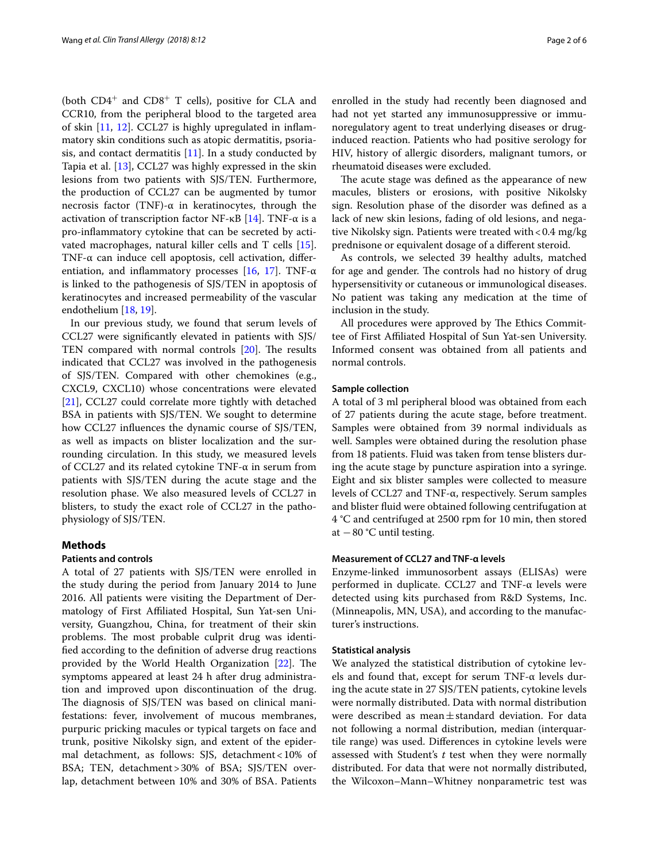(both  $CD4^+$  and  $CD8^+$  T cells), positive for CLA and CCR10, from the peripheral blood to the targeted area of skin [[11](#page-5-8), [12\]](#page-5-9). CCL27 is highly upregulated in infammatory skin conditions such as atopic dermatitis, psoriasis, and contact dermatitis  $[11]$ . In a study conducted by Tapia et al. [[13\]](#page-5-10), CCL27 was highly expressed in the skin lesions from two patients with SJS/TEN. Furthermore, the production of CCL27 can be augmented by tumor necrosis factor (TNF)- $\alpha$  in keratinocytes, through the activation of transcription factor NF-κB [\[14](#page-5-11)]. TNF- $\alpha$  is a pro-infammatory cytokine that can be secreted by activated macrophages, natural killer cells and T cells [\[15](#page-5-12)]. TNF-α can induce cell apoptosis, cell activation, difer-entiation, and inflammatory processes [\[16,](#page-5-13) [17](#page-5-14)]. TNF- $\alpha$ is linked to the pathogenesis of SJS/TEN in apoptosis of keratinocytes and increased permeability of the vascular endothelium [\[18](#page-5-15), [19](#page-5-16)].

In our previous study, we found that serum levels of CCL27 were signifcantly elevated in patients with SJS/ TEN compared with normal controls  $[20]$  $[20]$ . The results indicated that CCL27 was involved in the pathogenesis of SJS/TEN. Compared with other chemokines (e.g., CXCL9, CXCL10) whose concentrations were elevated [[21\]](#page-5-18), CCL27 could correlate more tightly with detached BSA in patients with SJS/TEN. We sought to determine how CCL27 infuences the dynamic course of SJS/TEN, as well as impacts on blister localization and the surrounding circulation. In this study, we measured levels of CCL27 and its related cytokine TNF-α in serum from patients with SJS/TEN during the acute stage and the resolution phase. We also measured levels of CCL27 in blisters, to study the exact role of CCL27 in the pathophysiology of SJS/TEN.

# **Methods**

# **Patients and controls**

A total of 27 patients with SJS/TEN were enrolled in the study during the period from January 2014 to June 2016. All patients were visiting the Department of Dermatology of First Afliated Hospital, Sun Yat-sen University, Guangzhou, China, for treatment of their skin problems. The most probable culprit drug was identifed according to the defnition of adverse drug reactions provided by the World Health Organization  $[22]$  $[22]$ . The symptoms appeared at least 24 h after drug administration and improved upon discontinuation of the drug. The diagnosis of SJS/TEN was based on clinical manifestations: fever, involvement of mucous membranes, purpuric pricking macules or typical targets on face and trunk, positive Nikolsky sign, and extent of the epidermal detachment, as follows: SJS, detachment<10% of BSA; TEN, detachment>30% of BSA; SJS/TEN overlap, detachment between 10% and 30% of BSA. Patients

enrolled in the study had recently been diagnosed and had not yet started any immunosuppressive or immunoregulatory agent to treat underlying diseases or druginduced reaction. Patients who had positive serology for HIV, history of allergic disorders, malignant tumors, or rheumatoid diseases were excluded.

The acute stage was defined as the appearance of new macules, blisters or erosions, with positive Nikolsky sign. Resolution phase of the disorder was defned as a lack of new skin lesions, fading of old lesions, and negative Nikolsky sign. Patients were treated with<0.4 mg/kg prednisone or equivalent dosage of a diferent steroid.

As controls, we selected 39 healthy adults, matched for age and gender. The controls had no history of drug hypersensitivity or cutaneous or immunological diseases. No patient was taking any medication at the time of inclusion in the study.

All procedures were approved by The Ethics Committee of First Afliated Hospital of Sun Yat-sen University. Informed consent was obtained from all patients and normal controls.

# **Sample collection**

A total of 3 ml peripheral blood was obtained from each of 27 patients during the acute stage, before treatment. Samples were obtained from 39 normal individuals as well. Samples were obtained during the resolution phase from 18 patients. Fluid was taken from tense blisters during the acute stage by puncture aspiration into a syringe. Eight and six blister samples were collected to measure levels of CCL27 and TNF-α, respectively. Serum samples and blister fuid were obtained following centrifugation at 4 °C and centrifuged at 2500 rpm for 10 min, then stored at  $-80$  °C until testing.

# **Measurement of CCL27 and TNF‑α levels**

Enzyme-linked immunosorbent assays (ELISAs) were performed in duplicate. CCL27 and TNF-α levels were detected using kits purchased from R&D Systems, Inc. (Minneapolis, MN, USA), and according to the manufacturer's instructions.

# **Statistical analysis**

We analyzed the statistical distribution of cytokine levels and found that, except for serum TNF-α levels during the acute state in 27 SJS/TEN patients, cytokine levels were normally distributed. Data with normal distribution were described as mean±standard deviation. For data not following a normal distribution, median (interquartile range) was used. Diferences in cytokine levels were assessed with Student's *t* test when they were normally distributed. For data that were not normally distributed, the Wilcoxon–Mann–Whitney nonparametric test was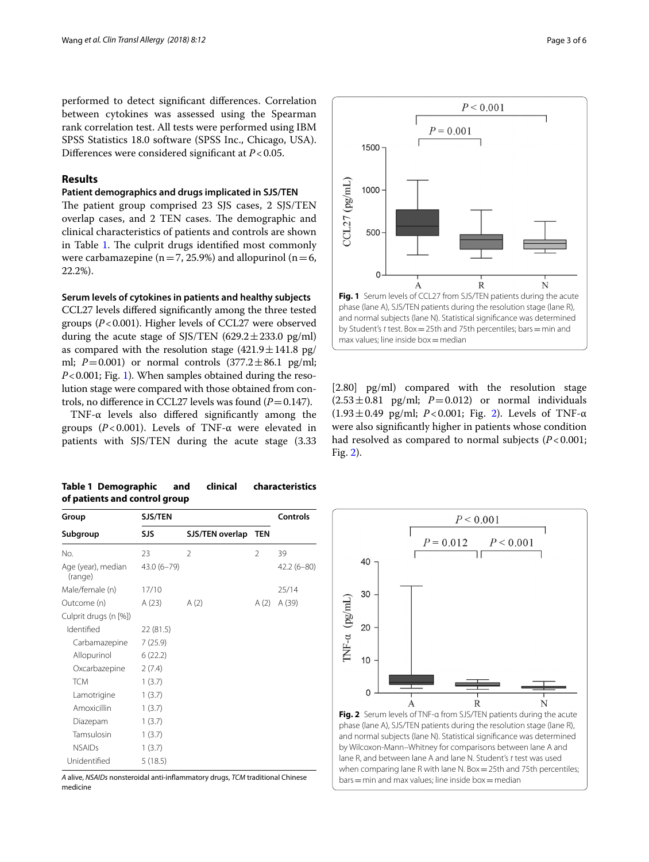performed to detect signifcant diferences. Correlation between cytokines was assessed using the Spearman rank correlation test. All tests were performed using IBM SPSS Statistics 18.0 software (SPSS Inc., Chicago, USA). Diferences were considered signifcant at *P*<0.05.

# **Results**

# **Patient demographics and drugs implicated in SJS/TEN**

The patient group comprised 23 SJS cases, 2 SJS/TEN overlap cases, and 2 TEN cases. The demographic and clinical characteristics of patients and controls are shown in Table [1.](#page-2-0) The culprit drugs identified most commonly were carbamazepine ( $n=7, 25.9%$ ) and allopurinol ( $n=6$ , 22.2%).

# **Serum levels of cytokines in patients and healthy subjects**

CCL27 levels difered signifcantly among the three tested groups (*P*<0.001). Higher levels of CCL27 were observed during the acute stage of SJS/TEN  $(629.2 \pm 233.0 \text{ pg/ml})$ as compared with the resolution stage  $(421.9 \pm 141.8 \text{ pg})$ ml;  $P = 0.001$ ) or normal controls  $(377.2 \pm 86.1 \text{ pg/ml};$ *P*<0.001; Fig. [1\)](#page-2-1). When samples obtained during the resolution stage were compared with those obtained from controls, no difference in CCL27 levels was found  $(P=0.147)$ .

TNF-α levels also difered signifcantly among the groups (*P*<0.001). Levels of TNF-α were elevated in patients with SJS/TEN during the acute stage (3.33

# <span id="page-2-0"></span>**Table 1 Demographic and clinical characteristics of patients and control group**

| <b>SJS/TEN</b><br>Group       |                |                 |                | Controls       |
|-------------------------------|----------------|-----------------|----------------|----------------|
| Subgroup                      | <b>SJS</b>     | SJS/TEN overlap | <b>TEN</b>     |                |
| No.                           | 23             | $\mathfrak{D}$  | $\mathfrak{D}$ | 39             |
| Age (year), median<br>(range) | $43.0(6 - 79)$ |                 |                | $42.2(6 - 80)$ |
| Male/female (n)               | 17/10          |                 |                | 25/14          |
| Outcome (n)                   | A(23)          | A(2)            | A(2)           | A (39)         |
| Culprit drugs (n [%])         |                |                 |                |                |
| Identified                    | 22 (81.5)      |                 |                |                |
| Carbamazepine                 | 7(25.9)        |                 |                |                |
| Allopurinol                   | 6(22.2)        |                 |                |                |
| Oxcarbazepine                 | 2(7.4)         |                 |                |                |
| <b>TCM</b>                    | 1(3.7)         |                 |                |                |
| Lamotrigine                   | 1(3.7)         |                 |                |                |
| Amoxicillin                   | 1(3.7)         |                 |                |                |
| Diazepam                      | 1(3.7)         |                 |                |                |
| Tamsulosin                    | 1(3.7)         |                 |                |                |
| <b>NSAIDs</b>                 | 1(3.7)         |                 |                |                |
| Unidentified                  | 5(18.5)        |                 |                |                |

*A* alive, *NSAIDs* nonsteroidal anti-infammatory drugs, *TCM* traditional Chinese medicine



 $P < 0.001$ 

<span id="page-2-1"></span>[2.80] pg/ml) compared with the resolution stage  $(2.53 \pm 0.81 \text{ pg/ml};$   $P=0.012)$  or normal individuals (1.93±0.49 pg/ml; *P*<0.001; Fig. [2](#page-2-2)). Levels of TNF-α were also signifcantly higher in patients whose condition had resolved as compared to normal subjects (*P*<0.001; Fig. [2\)](#page-2-2).

<span id="page-2-2"></span>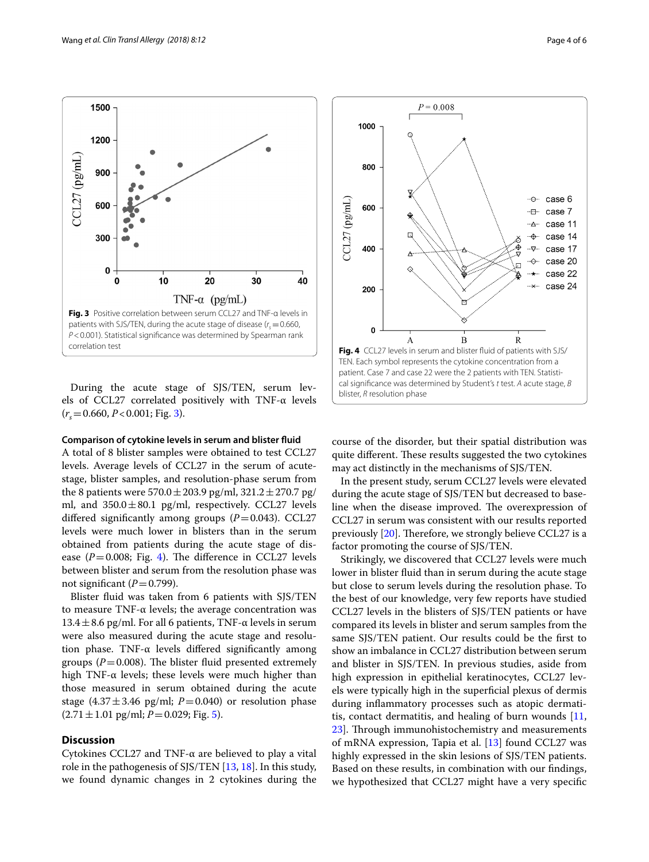<span id="page-3-0"></span>During the acute stage of SJS/TEN, serum levels of CCL27 correlated positively with TNF-α levels  $(r<sub>s</sub>=0.660, P<0.001; Fig. 3).$  $(r<sub>s</sub>=0.660, P<0.001; Fig. 3).$  $(r<sub>s</sub>=0.660, P<0.001; Fig. 3).$ 

# **Comparison of cytokine levels in serum and blister fuid**

A total of 8 blister samples were obtained to test CCL27 levels. Average levels of CCL27 in the serum of acutestage, blister samples, and resolution-phase serum from the 8 patients were  $570.0 \pm 203.9$  pg/ml,  $321.2 \pm 270.7$  pg/ ml, and  $350.0 \pm 80.1$  pg/ml, respectively. CCL27 levels differed significantly among groups  $(P=0.043)$ . CCL27 levels were much lower in blisters than in the serum obtained from patients during the acute stage of disease  $(P=0.008;$  Fig. [4](#page-3-1)). The difference in CCL27 levels between blister and serum from the resolution phase was not significant  $(P=0.799)$ .

Blister fuid was taken from 6 patients with SJS/TEN to measure TNF-α levels; the average concentration was  $13.4 \pm 8.6$  pg/ml. For all 6 patients, TNF- $\alpha$  levels in serum were also measured during the acute stage and resolution phase. TNF-α levels difered signifcantly among groups ( $P=0.008$ ). The blister fluid presented extremely high TNF- $\alpha$  levels; these levels were much higher than those measured in serum obtained during the acute stage  $(4.37 \pm 3.46 \text{ pg/ml}; P=0.040)$  or resolution phase  $(2.71 \pm 1.01 \text{ pg/ml}; P=0.029; \text{Fig. 5}).$  $(2.71 \pm 1.01 \text{ pg/ml}; P=0.029; \text{Fig. 5}).$  $(2.71 \pm 1.01 \text{ pg/ml}; P=0.029; \text{Fig. 5}).$ 

# **Discussion**

Cytokines CCL27 and TNF-α are believed to play a vital role in the pathogenesis of SJS/TEN [\[13,](#page-5-10) [18](#page-5-15)]. In this study, we found dynamic changes in 2 cytokines during the <span id="page-3-1"></span>course of the disorder, but their spatial distribution was quite different. These results suggested the two cytokines may act distinctly in the mechanisms of SJS/TEN.

In the present study, serum CCL27 levels were elevated during the acute stage of SJS/TEN but decreased to baseline when the disease improved. The overexpression of CCL27 in serum was consistent with our results reported previously  $[20]$  $[20]$ . Therefore, we strongly believe CCL27 is a factor promoting the course of SJS/TEN.

Strikingly, we discovered that CCL27 levels were much lower in blister fuid than in serum during the acute stage but close to serum levels during the resolution phase. To the best of our knowledge, very few reports have studied CCL27 levels in the blisters of SJS/TEN patients or have compared its levels in blister and serum samples from the same SJS/TEN patient. Our results could be the frst to show an imbalance in CCL27 distribution between serum and blister in SJS/TEN. In previous studies, aside from high expression in epithelial keratinocytes, CCL27 levels were typically high in the superfcial plexus of dermis during infammatory processes such as atopic dermatitis, contact dermatitis, and healing of burn wounds  $[11, 1]$  $[11, 1]$  $[11, 1]$ [23\]](#page-5-20). Through immunohistochemistry and measurements of mRNA expression, Tapia et al. [[13\]](#page-5-10) found CCL27 was highly expressed in the skin lesions of SJS/TEN patients. Based on these results, in combination with our fndings, we hypothesized that CCL27 might have a very specifc



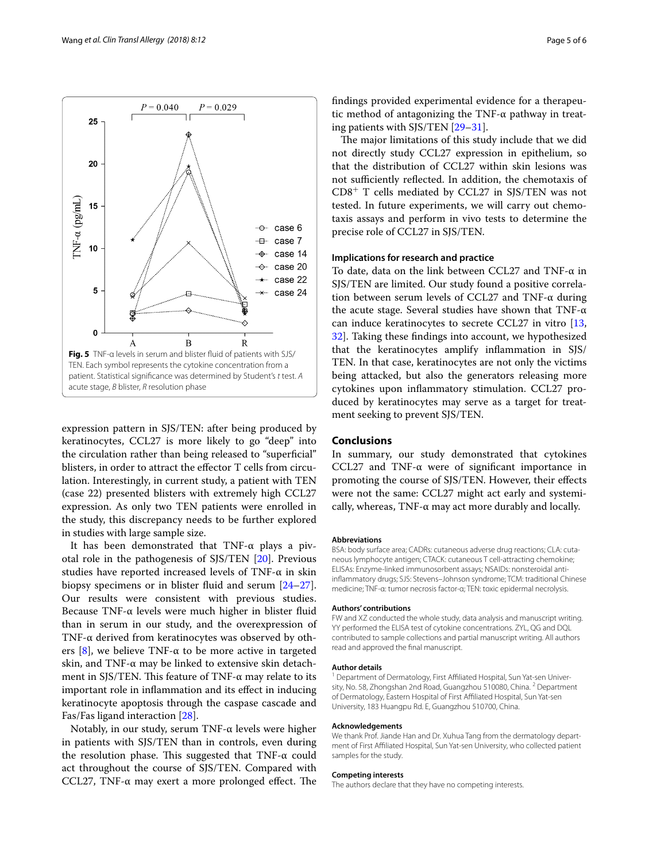

<span id="page-4-0"></span>expression pattern in SJS/TEN: after being produced by keratinocytes, CCL27 is more likely to go "deep" into the circulation rather than being released to "superfcial" blisters, in order to attract the effector T cells from circulation. Interestingly, in current study, a patient with TEN (case 22) presented blisters with extremely high CCL27 expression. As only two TEN patients were enrolled in the study, this discrepancy needs to be further explored in studies with large sample size.

It has been demonstrated that TNF-α plays a pivotal role in the pathogenesis of SJS/TEN [[20\]](#page-5-17). Previous studies have reported increased levels of TNF-α in skin biopsy specimens or in blister fuid and serum [[24](#page-5-21)[–27](#page-5-22)]. Our results were consistent with previous studies. Because TNF- $\alpha$  levels were much higher in blister fluid than in serum in our study, and the overexpression of TNF-α derived from keratinocytes was observed by others  $[8]$  $[8]$ , we believe TNF- $\alpha$  to be more active in targeted skin, and TNF-α may be linked to extensive skin detachment in SJS/TEN. This feature of TNF- $\alpha$  may relate to its important role in infammation and its efect in inducing keratinocyte apoptosis through the caspase cascade and Fas/Fas ligand interaction [\[28\]](#page-5-23).

Notably, in our study, serum TNF-α levels were higher in patients with SJS/TEN than in controls, even during the resolution phase. This suggested that TNF- $\alpha$  could act throughout the course of SJS/TEN. Compared with CCL27, TNF- $\alpha$  may exert a more prolonged effect. The fndings provided experimental evidence for a therapeutic method of antagonizing the TNF- $\alpha$  pathway in treating patients with SJS/TEN [\[29–](#page-5-24)[31\]](#page-5-25).

The major limitations of this study include that we did not directly study CCL27 expression in epithelium, so that the distribution of CCL27 within skin lesions was not sufficiently reflected. In addition, the chemotaxis of  $CD8<sup>+</sup>$  T cells mediated by CCL27 in SJS/TEN was not tested. In future experiments, we will carry out chemotaxis assays and perform in vivo tests to determine the precise role of CCL27 in SJS/TEN.

# **Implications for research and practice**

To date, data on the link between CCL27 and TNF-α in SJS/TEN are limited. Our study found a positive correlation between serum levels of CCL27 and TNF-α during the acute stage. Several studies have shown that TNF-α can induce keratinocytes to secrete CCL27 in vitro [[13](#page-5-10), [32\]](#page-5-26). Taking these fndings into account, we hypothesized that the keratinocytes amplify infammation in SJS/ TEN. In that case, keratinocytes are not only the victims being attacked, but also the generators releasing more cytokines upon infammatory stimulation. CCL27 produced by keratinocytes may serve as a target for treatment seeking to prevent SJS/TEN.

# **Conclusions**

In summary, our study demonstrated that cytokines CCL27 and TNF-α were of signifcant importance in promoting the course of SJS/TEN. However, their efects were not the same: CCL27 might act early and systemically, whereas, TNF-α may act more durably and locally.

#### **Abbreviations**

BSA: body surface area; CADRs: cutaneous adverse drug reactions; CLA: cutaneous lymphocyte antigen; CTACK: cutaneous T cell-attracting chemokine; ELISAs: Enzyme-linked immunosorbent assays; NSAIDs: nonsteroidal antiinfammatory drugs; SJS: Stevens–Johnson syndrome; TCM: traditional Chinese medicine; TNF-α: tumor necrosis factor-α; TEN: toxic epidermal necrolysis.

#### **Authors' contributions**

FW and XZ conducted the whole study, data analysis and manuscript writing. YY performed the ELISA test of cytokine concentrations. ZYL, QG and DQL contributed to sample collections and partial manuscript writing. All authors read and approved the fnal manuscript.

#### **Author details**

<sup>1</sup> Department of Dermatology, First Affiliated Hospital, Sun Yat-sen University, No. 58, Zhongshan 2nd Road, Guangzhou 510080, China. <sup>2</sup> Department of Dermatology, Eastern Hospital of First Afliated Hospital, Sun Yat-sen University, 183 Huangpu Rd. E, Guangzhou 510700, China.

#### **Acknowledgements**

We thank Prof. Jiande Han and Dr. Xuhua Tang from the dermatology department of First Afliated Hospital, Sun Yat-sen University, who collected patient samples for the study.

#### **Competing interests**

The authors declare that they have no competing interests.